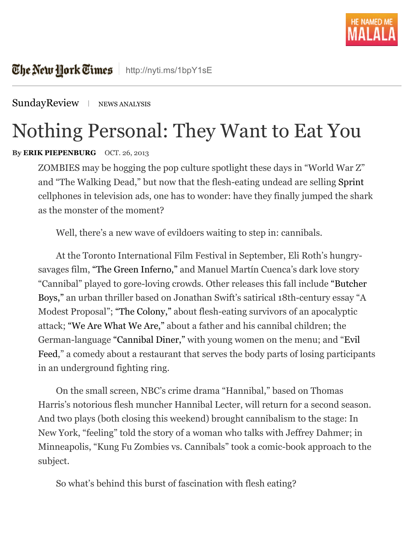

[SundayReview](http://www.nytimes.com/pages/opinion/index.html#sundayreview) | NEWS ANALYSIS

## Nothing Personal: They Want to Eat You

## **By [ERIK PIEPENBURG](http://topics.nytimes.com/top/reference/timestopics/people/p/erik_piepenburg/index.html)** OCT. 26, 2013

ZOMBIES may be hogging the pop culture spotlight these days in "World War Z" and "The Walking Dead," but now that the flesh-eating undead are selling [Sprint](http://www.ispot.tv/ad/7qGD/sprint-unlimited-my-way-zombie) cellphones in television ads, one has to wonder: have they finally jumped the shark as the monster of the moment?

Well, there's a new wave of evildoers waiting to step in: cannibals.

At the Toronto International Film Festival in September, Eli Roth's hungrysavages film, ["The Green Inferno,"](http://www.youtube.com/watch?v=7y02dGs4V4Y) and Manuel Martín Cuenca's dark love story ["Cannibal" played to gore-loving crowds. Other releases this fall include "Butcher](http://www.youtube.com/watch?v=eJGmFos6kl4) Boys," an urban thriller based on Jonathan Swift's satirical 18th-century essay "A Modest Proposal"; ["The Colony,"](http://www.youtube.com/watch?v=ZENI7UC3WQo) about flesh-eating survivors of an apocalyptic attack; ["We Are What We Are,"](http://www.youtube.com/watch?v=kPG9kZmEwcs) about a father and his cannibal children; the German-language ["Cannibal Diner,"](http://www.youtube.com/watch?v=z2N4ehQK1TM) with young women on the menu; and "Evil [Feed," a comedy about a restaurant that serves the body parts of losing participa](http://www.youtube.com/watch?v=I1hhxu_CCUw)nts in an underground fighting ring.

On the small screen, NBC's crime drama "Hannibal," based on Thomas Harris's notorious flesh muncher Hannibal Lecter, will return for a second season. And two plays (both closing this weekend) brought cannibalism to the stage: In New York, "feeling" told the story of a woman who talks with Jeffrey Dahmer; in Minneapolis, "Kung Fu Zombies vs. Cannibals" took a comic-book approach to the subject.

So what's behind this burst of fascination with flesh eating?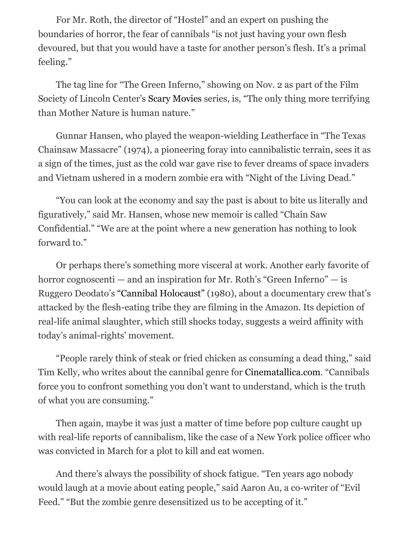For Mr. Roth, the director of "Hostel" and an expert on pushing the boundaries of horror, the fear of cannibals "is not just having your own flesh devoured, but that you would have a taste for another person's flesh. It's a primal feeling."

The tag line for "The Green Inferno," showing on Nov. 2 as part of the Film Society of Lincoln Center's [Scary Movies](http://www.filmlinc.com/films/series/scary-movies-7) series, is, "The only thing more terrifying than Mother Nature is human nature."

Gunnar Hansen, who played the weapon-wielding Leatherface in "The Texas Chainsaw Massacre" (1974), a pioneering foray into cannibalistic terrain, sees it as a sign of the times, just as the cold war gave rise to fever dreams of space invaders and Vietnam ushered in a modern zombie era with "Night of the Living Dead."

"You can look at the economy and say the past is about to bite us literally and figuratively," said Mr. Hansen, whose new memoir is called "Chain Saw Confidential." "We are at the point where a new generation has nothing to look forward to."

Or perhaps there's something more visceral at work. Another early favorite of horror cognoscenti — and an inspiration for Mr. Roth's "Green Inferno" — is Ruggero Deodato's ["Cannibal Holocaust"](http://www.youtube.com/watch?v=LQYqgKTJmBQ) (1980), about a documentary crew that's attacked by the flesh-eating tribe they are filming in the Amazon. Its depiction of real-life animal slaughter, which still shocks today, suggests a weird affinity with today's animal-rights' movement.

"People rarely think of steak or fried chicken as consuming a dead thing," said Tim Kelly, who writes about the cannibal genre for [Cinematallica.com.](http://Cinematallica.com/) "Cannibals force you to confront something you don't want to understand, which is the truth of what you are consuming."

Then again, maybe it was just a matter of time before pop culture caught up with real-life reports of cannibalism, like the case of a New York police officer who was convicted in March for a plot to kill and eat women.

And there's always the possibility of shock fatigue. "Ten years ago nobody would laugh at a movie about eating people," said Aaron Au, a co-writer of "Evil Feed." "But the zombie genre desensitized us to be accepting of it."